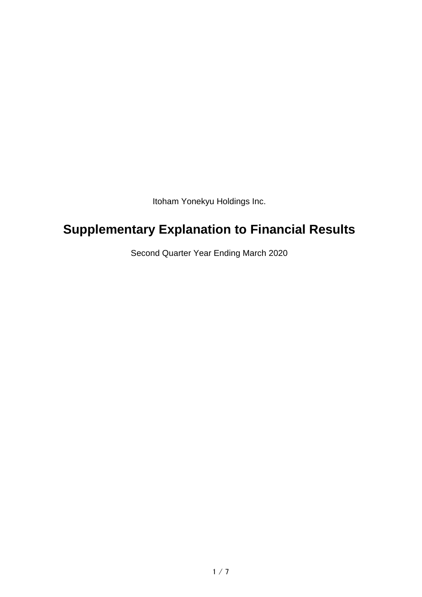Itoham Yonekyu Holdings Inc.

# **Supplementary Explanation to Financial Results**

Second Quarter Year Ending March 2020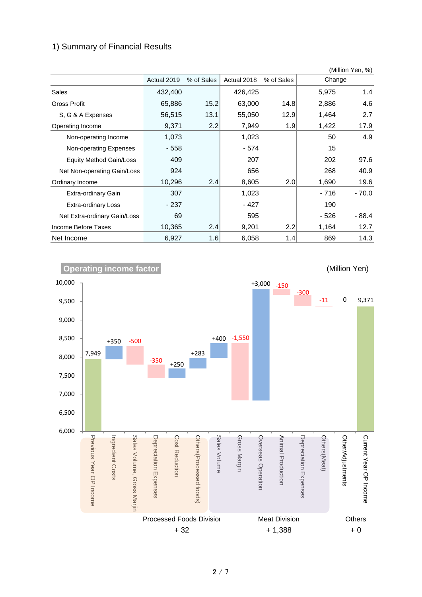#### 1) Summary of Financial Results

|                              |             |            |             |            |        | (Million Yen, %) |
|------------------------------|-------------|------------|-------------|------------|--------|------------------|
|                              | Actual 2019 | % of Sales | Actual 2018 | % of Sales | Change |                  |
| Sales                        | 432,400     |            | 426,425     |            | 5,975  | 1.4              |
| <b>Gross Profit</b>          | 65,886      | 15.2       | 63,000      | 14.8       | 2,886  | 4.6              |
| S, G & A Expenses            | 56,515      | 13.1       | 55,050      | 12.9       | 1,464  | 2.7              |
| Operating Income             | 9,371       | 2.2        | 7,949       | 1.9        | 1,422  | 17.9             |
| Non-operating Income         | 1,073       |            | 1,023       |            | 50     | 4.9              |
| Non-operating Expenses       | - 558       |            | - 574       |            | 15     |                  |
| Equity Method Gain/Loss      | 409         |            | 207         |            | 202    | 97.6             |
| Net Non-operating Gain/Loss  | 924         |            | 656         |            | 268    | 40.9             |
| Ordinary Income              | 10,296      | 2.4        | 8,605       | 2.0        | 1,690  | 19.6             |
| Extra-ordinary Gain          | 307         |            | 1,023       |            | - 716  | $-70.0$          |
| Extra-ordinary Loss          | $-237$      |            | - 427       |            | 190    |                  |
| Net Extra-ordinary Gain/Loss | 69          |            | 595         |            | - 526  | $-88.4$          |
| Income Before Taxes          | 10,365      | 2.4        | 9,201       | 2.2        | 1,164  | 12.7             |
| Net Income                   | 6,927       | 1.6        | 6,058       | 1.4        | 869    | 14.3             |



2 / 7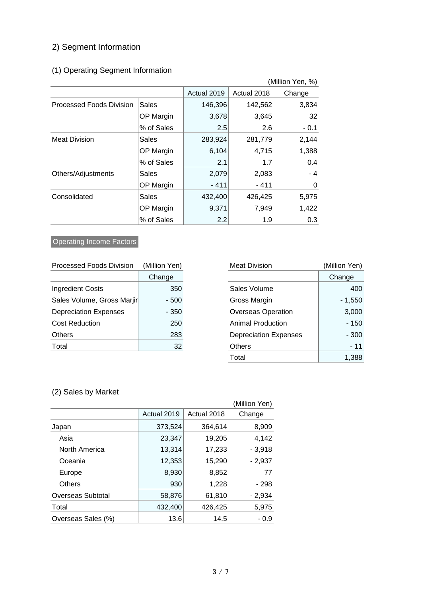# 2) Segment Information

# (1) Operating Segment Information

| (Million Yen, %)                |              |             |             |        |
|---------------------------------|--------------|-------------|-------------|--------|
|                                 |              | Actual 2019 | Actual 2018 | Change |
| <b>Processed Foods Division</b> | <b>Sales</b> | 146,396     | 142,562     | 3,834  |
|                                 | OP Margin    | 3,678       | 3,645       | 32     |
|                                 | % of Sales   | 2.5         | 2.6         | $-0.1$ |
| <b>Meat Division</b>            | Sales        | 283,924     | 281,779     | 2,144  |
|                                 | OP Margin    | 6,104       | 4,715       | 1,388  |
|                                 | % of Sales   | 2.1         | 1.7         | 0.4    |
| Others/Adjustments              | Sales        | 2,079       | 2,083       | $-4$   |
|                                 | OP Margin    | $-411$      | - 411       | 0      |
| Consolidated                    | Sales        | 432,400     | 426,425     | 5,975  |
|                                 | OP Margin    | 9,371       | 7,949       | 1,422  |
|                                 | % of Sales   | 2.2         | 1.9         | 0.3    |

# **Operating Income Factors**

| <b>Processed Foods Division</b> | (Million Yen) |
|---------------------------------|---------------|
|                                 | Change        |
| <b>Ingredient Costs</b>         | 350           |
| Sales Volume, Gross Marjir      | - 500         |
| <b>Depreciation Expenses</b>    | - 350         |
| Cost Reduction                  | 250           |
| Others                          | 283           |
| Total                           | 32            |

| <b>Processed Foods Division</b> | (Million Yen) | <b>Meat Division</b>         | (Million Yen) |
|---------------------------------|---------------|------------------------------|---------------|
|                                 | Change        |                              | Change        |
| <b>Ingredient Costs</b>         | 350           | Sales Volume                 | 400           |
| Sales Volume, Gross Marjir      | - 500         | Gross Margin                 | $-1,550$      |
| <b>Depreciation Expenses</b>    | - 350         | <b>Overseas Operation</b>    | 3,000         |
| <b>Cost Reduction</b>           | 250           | <b>Animal Production</b>     | $-150$        |
| Others                          | 283           | <b>Depreciation Expenses</b> | $-300$        |
| Total                           | 32            | <b>Others</b>                | $-11$         |
|                                 |               | Total                        | 1,388         |

#### (2) Sales by Market

|                    |             |             | (Million Yen) |
|--------------------|-------------|-------------|---------------|
|                    | Actual 2019 | Actual 2018 | Change        |
| Japan              | 373,524     | 364,614     | 8,909         |
| Asia               | 23,347      | 19,205      | 4,142         |
| North America      | 13,314      | 17,233      | $-3,918$      |
| Oceania            | 12,353      | 15,290      | $-2,937$      |
| Europe             | 8,930       | 8,852       | 77            |
| <b>Others</b>      | 930         | 1,228       | - 298         |
| Overseas Subtotal  | 58,876      | 61,810      | $-2,934$      |
| Total              | 432,400     | 426,425     | 5,975         |
| Overseas Sales (%) | 13.6        | 14.5        | $-0.9$        |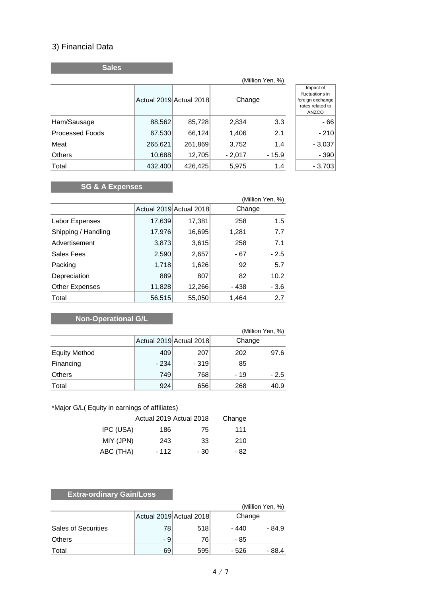### 3) Financial Data

**Sales**

|                        | (Million Yen, %) |                         |          |         |                                                                               |
|------------------------|------------------|-------------------------|----------|---------|-------------------------------------------------------------------------------|
|                        |                  | Actual 2019 Actual 2018 | Change   |         | Impact of<br>fluctuations in<br>foreign exchange<br>rates related to<br>ANZCO |
| Ham/Sausage            | 88,562           | 85,728                  | 2,834    | 3.3     | $-66$                                                                         |
| <b>Processed Foods</b> | 67,530           | 66,124                  | 1,406    | 2.1     | $-210$                                                                        |
| Meat                   | 265,621          | 261,869                 | 3,752    | 1.4     | $-3,037$                                                                      |
| <b>Others</b>          | 10,688           | 12,705                  | $-2,017$ | $-15.9$ | $-390$                                                                        |
| Total                  | 432,400          | 426,425                 | 5,975    | 1.4     | $-3,703$                                                                      |

# **SG & A Expenses**

| (Million Yen, %)      |        |                         |        |        |
|-----------------------|--------|-------------------------|--------|--------|
|                       |        | Actual 2019 Actual 2018 | Change |        |
| Labor Expenses        | 17,639 | 17,381                  | 258    | 1.5    |
| Shipping / Handling   | 17,976 | 16,695                  | 1,281  | 7.7    |
| Advertisement         | 3,873  | 3,615                   | 258    | 7.1    |
| Sales Fees            | 2,590  | 2,657                   | - 67   | $-2.5$ |
| Packing               | 1,718  | 1,626                   | 92     | 5.7    |
| Depreciation          | 889    | 807                     | 82     | 10.2   |
| <b>Other Expenses</b> | 11,828 | 12,266                  | - 438  | $-3.6$ |
| Total                 | 56,515 | 55,050                  | 1,464  | 2.7    |

# **Non-Operational G/L**

|                      |        |                         |        | (Million Yen, %) |
|----------------------|--------|-------------------------|--------|------------------|
|                      |        | Actual 2019 Actual 2018 | Change |                  |
| <b>Equity Method</b> | 409    | 207                     | 202    | 97.6             |
| Financing            | $-234$ | $-319$                  | 85     |                  |
| <b>Others</b>        | 749    | 768                     | $-19$  | $-2.5$           |
| Total                | 924    | 656                     | 268    | 40.9             |

#### \*Major G/L( Equity in earnings of affiliates)

|           | Actual 2019 Actual 2018 | Change |      |
|-----------|-------------------------|--------|------|
| IPC (USA) | 186                     | 75     | 111  |
| MIY (JPN) | 243                     | 33     | 210  |
| ABC (THA) | $-112$                  | - 30   | - 82 |

# **Extra-ordinary Gain/Loss**

|                            |     |                         | (Million Yen, %) |        |
|----------------------------|-----|-------------------------|------------------|--------|
|                            |     | Actual 2019 Actual 2018 | Change           |        |
| <b>Sales of Securities</b> | 78  | 518                     | - 440            | - 84.9 |
| <b>Others</b>              | - 9 | 76                      | - 85             |        |
| Total                      | 69  | 595                     | - 526            | - 88.4 |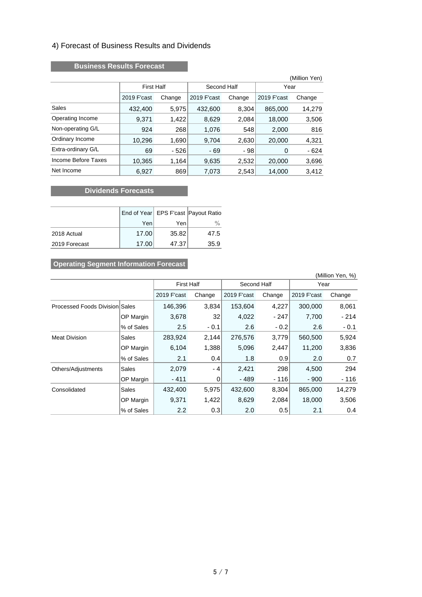#### 4) Forecast of Business Results and Dividends

#### **Business Results Forecast**

|                     |                   |        |             |        |             | (Million Yen) |  |
|---------------------|-------------------|--------|-------------|--------|-------------|---------------|--|
|                     | <b>First Half</b> |        | Second Half |        |             | Year          |  |
|                     | 2019 F'cast       | Change | 2019 F'cast | Change | 2019 F'cast | Change        |  |
| Sales               | 432,400           | 5,975  | 432,600     | 8,304  | 865,000     | 14,279        |  |
| Operating Income    | 9,371             | 1,422  | 8,629       | 2,084  | 18,000      | 3,506         |  |
| Non-operating G/L   | 924               | 268    | 1,076       | 548    | 2,000       | 816           |  |
| Ordinary Income     | 10,296            | 1,690  | 9,704       | 2,630  | 20,000      | 4,321         |  |
| Extra-ordinary G/L  | 69                | $-526$ | - 69        | - 98   | 0           | $-624$        |  |
| Income Before Taxes | 10,365            | 1,164  | 9,635       | 2,532  | 20,000      | 3,696         |  |
| Net Income          | 6,927             | 869    | 7,073       | 2,543  | 14,000      | 3,412         |  |

#### **Dividends Forecasts**

|               |       |       | End of Year EPS F'cast Payout Ratio |
|---------------|-------|-------|-------------------------------------|
|               | Yen   | Yenl  | $\%$                                |
| 2018 Actual   | 17.00 | 35.82 | 47.5                                |
| 2019 Forecast | 17.00 | 47.37 | 35.9                                |

# **Operating Segment Information Forecast**

| (Million Yen, %)                      |            |                   |        |             |        |             |        |
|---------------------------------------|------------|-------------------|--------|-------------|--------|-------------|--------|
|                                       |            | <b>First Half</b> |        | Second Half |        | Year        |        |
|                                       |            | 2019 F'cast       | Change | 2019 F'cast | Change | 2019 F'cast | Change |
| <b>Processed Foods Division Sales</b> |            | 146,396           | 3,834  | 153,604     | 4,227  | 300,000     | 8,061  |
|                                       | OP Margin  | 3,678             | 32     | 4,022       | - 247  | 7,700       | - 214  |
|                                       | % of Sales | 2.5               | $-0.1$ | 2.6         | $-0.2$ | 2.6         | $-0.1$ |
| <b>Meat Division</b>                  | Sales      | 283,924           | 2,144  | 276,576     | 3,779  | 560,500     | 5,924  |
|                                       | OP Margin  | 6,104             | 1,388  | 5,096       | 2,447  | 11,200      | 3,836  |
|                                       | % of Sales | 2.1               | 0.4    | 1.8         | 0.9    | 2.0         | 0.7    |
| Others/Adjustments                    | Sales      | 2,079             | - 4    | 2,421       | 298    | 4,500       | 294    |
|                                       | OP Margin  | $-411$            | 0      | - 489       | - 116  | $-900$      | - 116  |
| Consolidated                          | Sales      | 432,400           | 5,975  | 432,600     | 8,304  | 865,000     | 14,279 |
|                                       | OP Margin  | 9,371             | 1,422  | 8,629       | 2,084  | 18,000      | 3,506  |
|                                       | % of Sales | $2.2^{\circ}$     | 0.3    | 2.0         | 0.5    | 2.1         | 0.4    |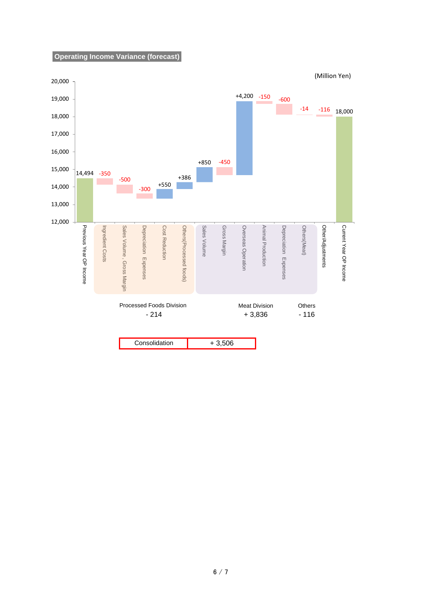#### **Operating Income Variance (forecast)**